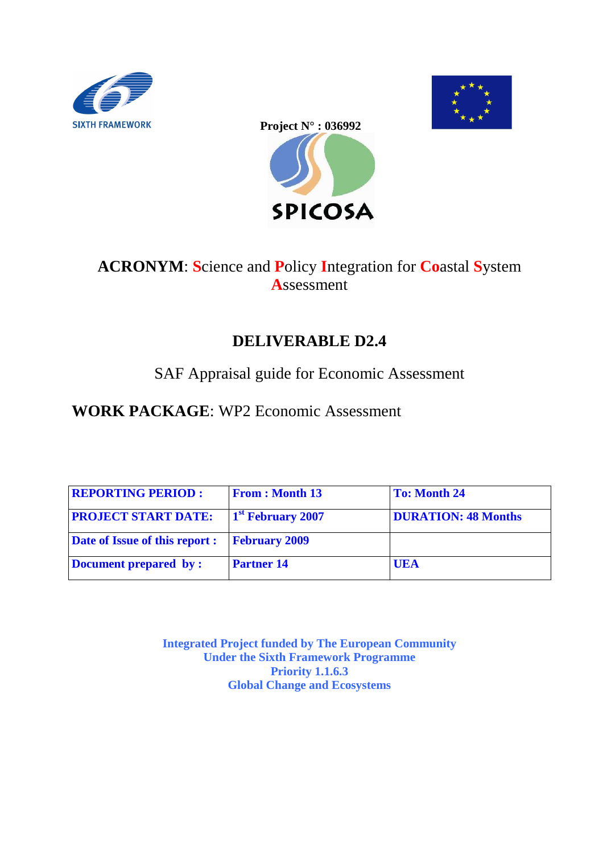





## **ACRONYM**: **S**cience and **P**olicy **I**ntegration for **Co**astal **S**ystem **A**ssessment

## **DELIVERABLE D2.4**

## SAF Appraisal guide for Economic Assessment

## **WORK PACKAGE**: WP2 Economic Assessment

| <b>REPORTING PERIOD:</b>              | <b>From: Month 13</b>         | <b>To: Month 24</b>        |
|---------------------------------------|-------------------------------|----------------------------|
| <b>PROJECT START DATE:</b>            | 1 <sup>st</sup> February 2007 | <b>DURATION: 48 Months</b> |
| <b>Date of Issue of this report :</b> | <b>February 2009</b>          |                            |
| Document prepared by:                 | <b>Partner 14</b>             | UEA                        |

**Integrated Project funded by The European Community Under the Sixth Framework Programme Priority 1.1.6.3 Global Change and Ecosystems**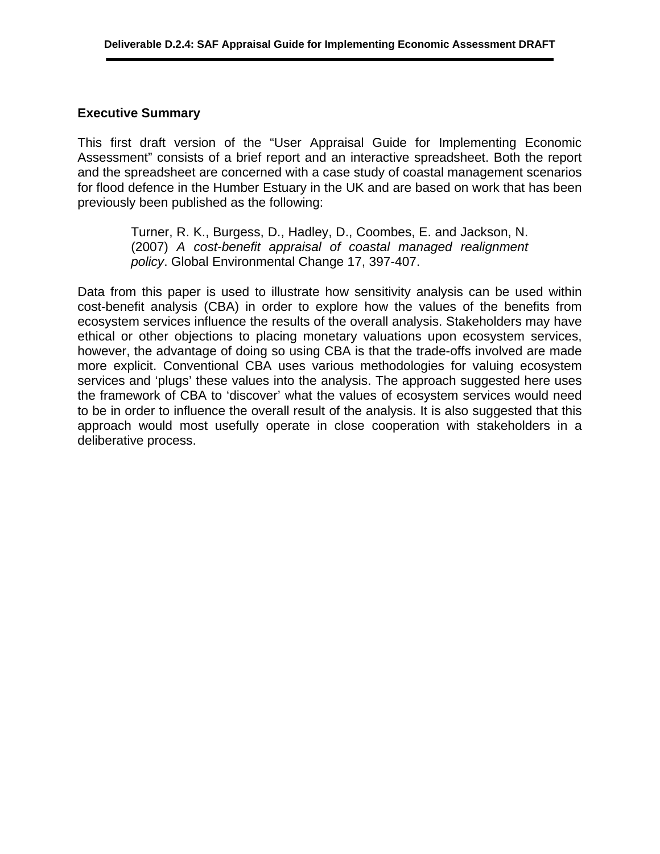#### **Executive Summary**

This first draft version of the "User Appraisal Guide for Implementing Economic Assessment" consists of a brief report and an interactive spreadsheet. Both the report and the spreadsheet are concerned with a case study of coastal management scenarios for flood defence in the Humber Estuary in the UK and are based on work that has been previously been published as the following:

> Turner, R. K., Burgess, D., Hadley, D., Coombes, E. and Jackson, N. (2007) *A cost-benefit appraisal of coastal managed realignment policy*. Global Environmental Change 17, 397-407.

Data from this paper is used to illustrate how sensitivity analysis can be used within cost-benefit analysis (CBA) in order to explore how the values of the benefits from ecosystem services influence the results of the overall analysis. Stakeholders may have ethical or other objections to placing monetary valuations upon ecosystem services, however, the advantage of doing so using CBA is that the trade-offs involved are made more explicit. Conventional CBA uses various methodologies for valuing ecosystem services and 'plugs' these values into the analysis. The approach suggested here uses the framework of CBA to 'discover' what the values of ecosystem services would need to be in order to influence the overall result of the analysis. It is also suggested that this approach would most usefully operate in close cooperation with stakeholders in a deliberative process.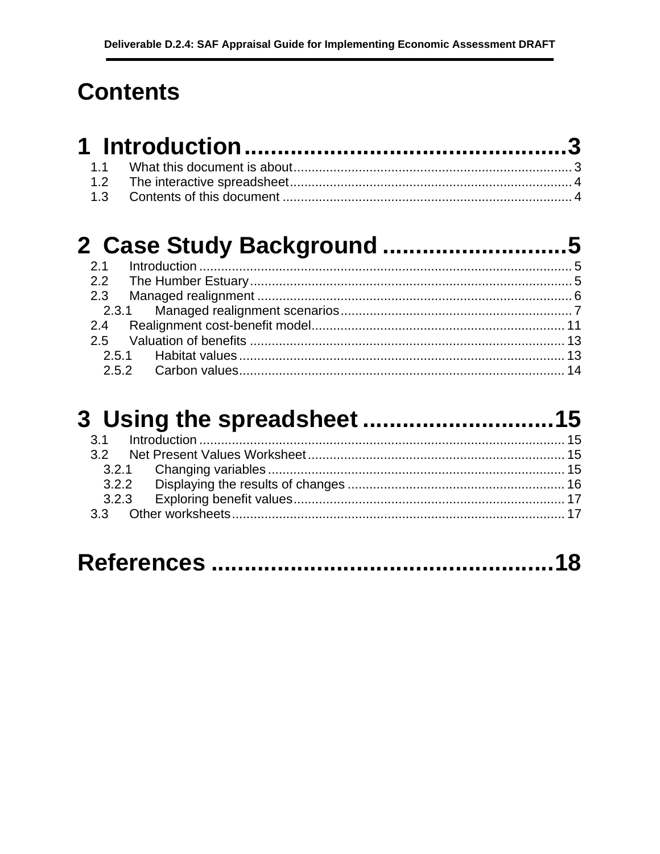# **Contents**

#### $2.1$  $2.2$  $2.3$  $2.3.1$ Poolignmont cost-bonofit modol  $\Omega$  $\overline{A}$

#### $3.1$  $3.2$  $321$ Changing variables  $15$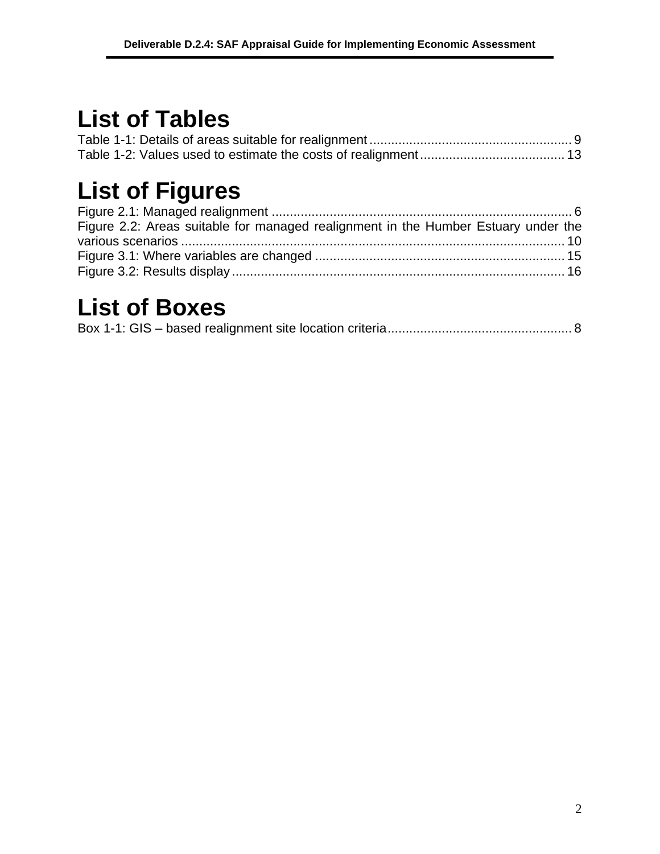## **List of Tables**

# **List of Figures**

| Figure 2.2: Areas suitable for managed realignment in the Humber Estuary under the |  |
|------------------------------------------------------------------------------------|--|
|                                                                                    |  |
|                                                                                    |  |
|                                                                                    |  |

## **List of Boxes**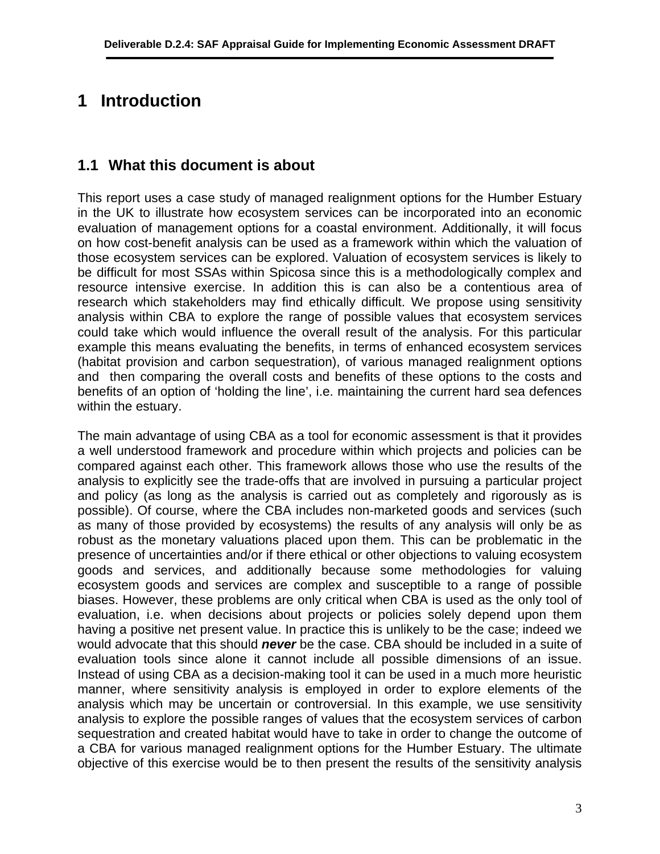## **1 Introduction**

## **1.1 What this document is about**

This report uses a case study of managed realignment options for the Humber Estuary in the UK to illustrate how ecosystem services can be incorporated into an economic evaluation of management options for a coastal environment. Additionally, it will focus on how cost-benefit analysis can be used as a framework within which the valuation of those ecosystem services can be explored. Valuation of ecosystem services is likely to be difficult for most SSAs within Spicosa since this is a methodologically complex and resource intensive exercise. In addition this is can also be a contentious area of research which stakeholders may find ethically difficult. We propose using sensitivity analysis within CBA to explore the range of possible values that ecosystem services could take which would influence the overall result of the analysis. For this particular example this means evaluating the benefits, in terms of enhanced ecosystem services (habitat provision and carbon sequestration), of various managed realignment options and then comparing the overall costs and benefits of these options to the costs and benefits of an option of 'holding the line', i.e. maintaining the current hard sea defences within the estuary.

The main advantage of using CBA as a tool for economic assessment is that it provides a well understood framework and procedure within which projects and policies can be compared against each other. This framework allows those who use the results of the analysis to explicitly see the trade-offs that are involved in pursuing a particular project and policy (as long as the analysis is carried out as completely and rigorously as is possible). Of course, where the CBA includes non-marketed goods and services (such as many of those provided by ecosystems) the results of any analysis will only be as robust as the monetary valuations placed upon them. This can be problematic in the presence of uncertainties and/or if there ethical or other objections to valuing ecosystem goods and services, and additionally because some methodologies for valuing ecosystem goods and services are complex and susceptible to a range of possible biases. However, these problems are only critical when CBA is used as the only tool of evaluation, i.e. when decisions about projects or policies solely depend upon them having a positive net present value. In practice this is unlikely to be the case; indeed we would advocate that this should *never* be the case. CBA should be included in a suite of evaluation tools since alone it cannot include all possible dimensions of an issue. Instead of using CBA as a decision-making tool it can be used in a much more heuristic manner, where sensitivity analysis is employed in order to explore elements of the analysis which may be uncertain or controversial. In this example, we use sensitivity analysis to explore the possible ranges of values that the ecosystem services of carbon sequestration and created habitat would have to take in order to change the outcome of a CBA for various managed realignment options for the Humber Estuary. The ultimate objective of this exercise would be to then present the results of the sensitivity analysis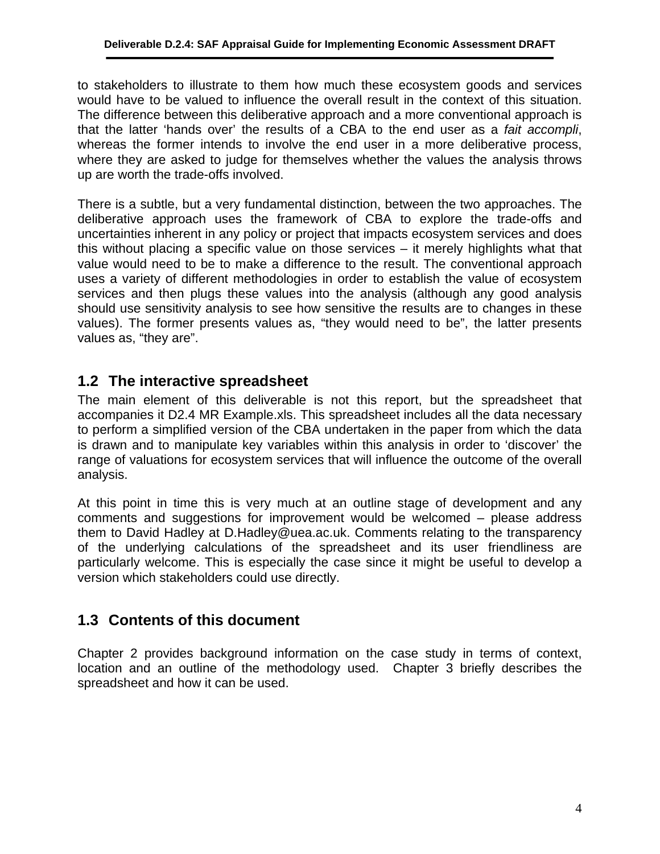to stakeholders to illustrate to them how much these ecosystem goods and services would have to be valued to influence the overall result in the context of this situation. The difference between this deliberative approach and a more conventional approach is that the latter 'hands over' the results of a CBA to the end user as a *fait accompli*, whereas the former intends to involve the end user in a more deliberative process, where they are asked to judge for themselves whether the values the analysis throws up are worth the trade-offs involved.

There is a subtle, but a very fundamental distinction, between the two approaches. The deliberative approach uses the framework of CBA to explore the trade-offs and uncertainties inherent in any policy or project that impacts ecosystem services and does this without placing a specific value on those services – it merely highlights what that value would need to be to make a difference to the result. The conventional approach uses a variety of different methodologies in order to establish the value of ecosystem services and then plugs these values into the analysis (although any good analysis should use sensitivity analysis to see how sensitive the results are to changes in these values). The former presents values as, "they would need to be", the latter presents values as, "they are".

## **1.2 The interactive spreadsheet**

The main element of this deliverable is not this report, but the spreadsheet that accompanies it D2.4 MR Example.xls. This spreadsheet includes all the data necessary to perform a simplified version of the CBA undertaken in the paper from which the data is drawn and to manipulate key variables within this analysis in order to 'discover' the range of valuations for ecosystem services that will influence the outcome of the overall analysis.

At this point in time this is very much at an outline stage of development and any comments and suggestions for improvement would be welcomed – please address them to David Hadley at D.Hadley@uea.ac.uk. Comments relating to the transparency of the underlying calculations of the spreadsheet and its user friendliness are particularly welcome. This is especially the case since it might be useful to develop a version which stakeholders could use directly.

## **1.3 Contents of this document**

Chapter [2](#page--1-3) provides background information on the case study in terms of context, location and an outline of the methodology used. Chapter 3 briefly describes the spreadsheet and how it can be used.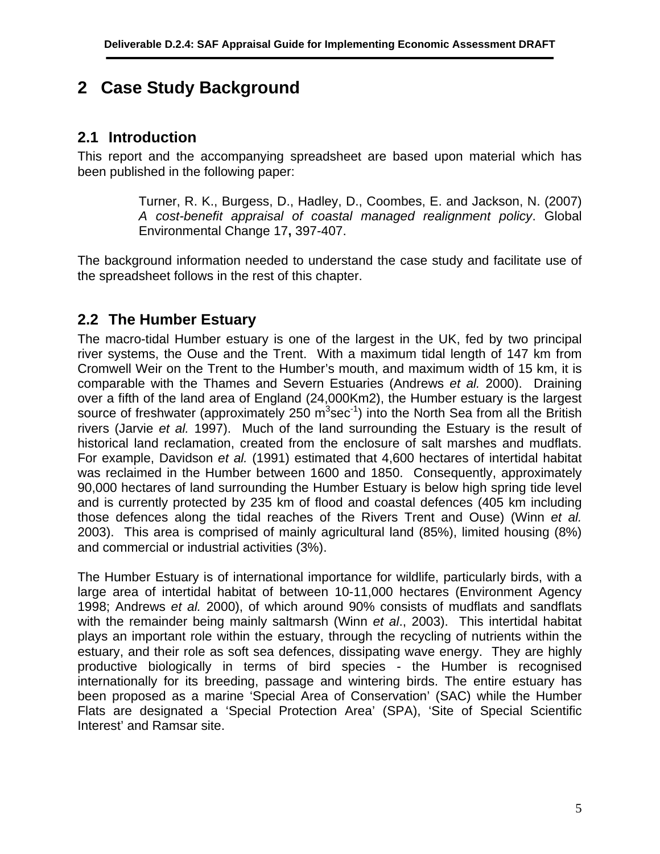## **2 Case Study Background**

## **2.1 Introduction**

This report and the accompanying spreadsheet are based upon material which has been published in the following paper:

> Turner, R. K., Burgess, D., Hadley, D., Coombes, E. and Jackson, N. (2007) *A cost-benefit appraisal of coastal managed realignment policy*. Global Environmental Change 17**,** 397-407.

The background information needed to understand the case study and facilitate use of the spreadsheet follows in the rest of this chapter.

## **2.2 The Humber Estuary**

The macro-tidal Humber estuary is one of the largest in the UK, fed by two principal river systems, the Ouse and the Trent. With a maximum tidal length of 147 km from Cromwell Weir on the Trent to the Humber's mouth, and maximum width of 15 km, it is comparable with the Thames and Severn Estuaries (Andrews *et al.* 2000). Draining over a fifth of the land area of England (24,000Km2), the Humber estuary is the largest source of freshwater (approximately 250  $m^3$ sec<sup>-1</sup>) into the North Sea from all the British rivers (Jarvie *et al.* 1997). Much of the land surrounding the Estuary is the result of historical land reclamation, created from the enclosure of salt marshes and mudflats. For example, Davidson *et al.* (1991) estimated that 4,600 hectares of intertidal habitat was reclaimed in the Humber between 1600 and 1850. Consequently, approximately 90,000 hectares of land surrounding the Humber Estuary is below high spring tide level and is currently protected by 235 km of flood and coastal defences (405 km including those defences along the tidal reaches of the Rivers Trent and Ouse) (Winn *et al.* 2003). This area is comprised of mainly agricultural land (85%), limited housing (8%) and commercial or industrial activities (3%).

The Humber Estuary is of international importance for wildlife, particularly birds, with a large area of intertidal habitat of between 10-11,000 hectares (Environment Agency 1998; Andrews *et al.* 2000), of which around 90% consists of mudflats and sandflats with the remainder being mainly saltmarsh (Winn *et al*., 2003). This intertidal habitat plays an important role within the estuary, through the recycling of nutrients within the estuary, and their role as soft sea defences, dissipating wave energy. They are highly productive biologically in terms of bird species - the Humber is recognised internationally for its breeding, passage and wintering birds. The entire estuary has been proposed as a marine 'Special Area of Conservation' (SAC) while the Humber Flats are designated a 'Special Protection Area' (SPA), 'Site of Special Scientific Interest' and Ramsar site.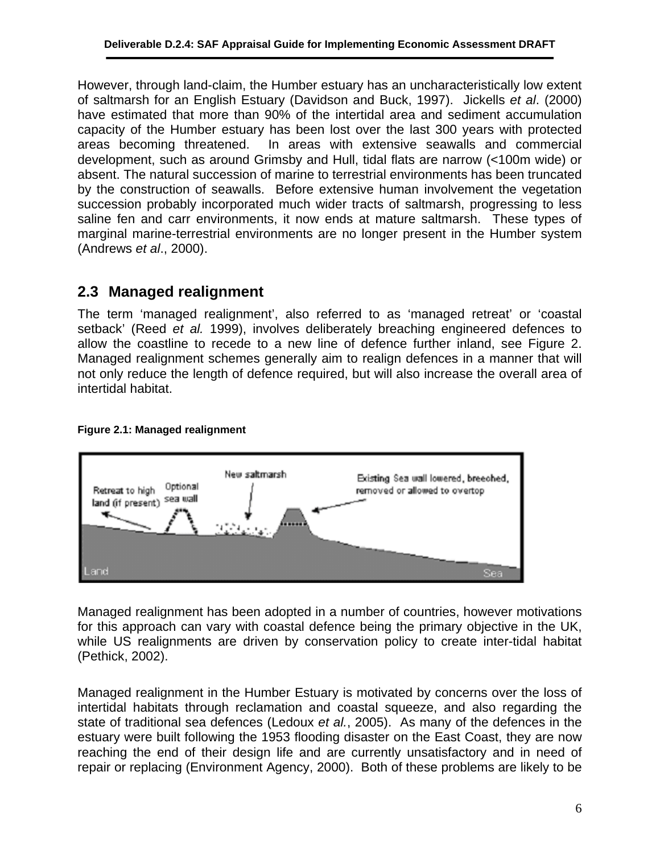However, through land-claim, the Humber estuary has an uncharacteristically low extent of saltmarsh for an English Estuary (Davidson and Buck, 1997). Jickells *et al*. (2000) have estimated that more than 90% of the intertidal area and sediment accumulation capacity of the Humber estuary has been lost over the last 300 years with protected areas becoming threatened. In areas with extensive seawalls and commercial development, such as around Grimsby and Hull, tidal flats are narrow (<100m wide) or absent. The natural succession of marine to terrestrial environments has been truncated by the construction of seawalls. Before extensive human involvement the vegetation succession probably incorporated much wider tracts of saltmarsh, progressing to less saline fen and carr environments, it now ends at mature saltmarsh. These types of marginal marine-terrestrial environments are no longer present in the Humber system (Andrews *et al*., 2000).

## **2.3 Managed realignment**

The term 'managed realignment', also referred to as 'managed retreat' or 'coastal setback' (Reed *et al.* 1999), involves deliberately breaching engineered defences to allow the coastline to recede to a new line of defence further inland, see Figure 2. Managed realignment schemes generally aim to realign defences in a manner that will not only reduce the length of defence required, but will also increase the overall area of intertidal habitat.



#### **Figure 2.1: Managed realignment**

Managed realignment has been adopted in a number of countries, however motivations for this approach can vary with coastal defence being the primary objective in the UK, while US realignments are driven by conservation policy to create inter-tidal habitat (Pethick, 2002).

Managed realignment in the Humber Estuary is motivated by concerns over the loss of intertidal habitats through reclamation and coastal squeeze, and also regarding the state of traditional sea defences (Ledoux *et al.*, 2005). As many of the defences in the estuary were built following the 1953 flooding disaster on the East Coast, they are now reaching the end of their design life and are currently unsatisfactory and in need of repair or replacing (Environment Agency, 2000). Both of these problems are likely to be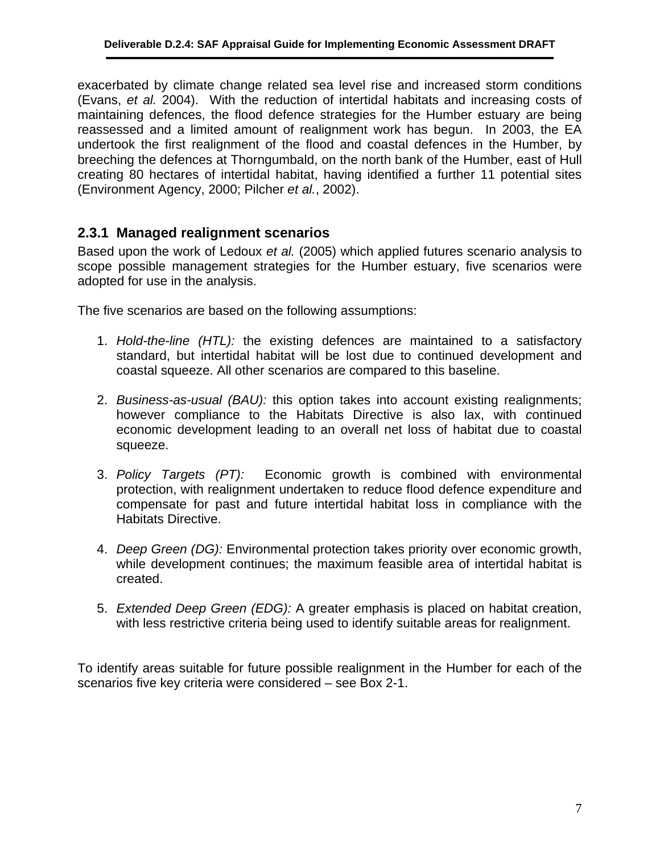exacerbated by climate change related sea level rise and increased storm conditions (Evans, *et al.* 2004). With the reduction of intertidal habitats and increasing costs of maintaining defences, the flood defence strategies for the Humber estuary are being reassessed and a limited amount of realignment work has begun. In 2003, the EA undertook the first realignment of the flood and coastal defences in the Humber, by breeching the defences at Thorngumbald, on the north bank of the Humber, east of Hull creating 80 hectares of intertidal habitat, having identified a further 11 potential sites (Environment Agency, 2000; Pilcher *et al.*, 2002).

#### **2.3.1 Managed realignment scenarios**

Based upon the work of Ledoux *et al.* (2005) which applied futures scenario analysis to scope possible management strategies for the Humber estuary, five scenarios were adopted for use in the analysis.

The five scenarios are based on the following assumptions:

- 1. *Hold-the-line (HTL):* the existing defences are maintained to a satisfactory standard, but intertidal habitat will be lost due to continued development and coastal squeeze. All other scenarios are compared to this baseline.
- 2. *Business-as-usual (BAU):* this option takes into account existing realignments; however compliance to the Habitats Directive is also lax, with *c*ontinued economic development leading to an overall net loss of habitat due to coastal squeeze.
- 3. *Policy Targets (PT):*Economic growth is combined with environmental protection, with realignment undertaken to reduce flood defence expenditure and compensate for past and future intertidal habitat loss in compliance with the Habitats Directive.
- 4. *Deep Green (DG):* Environmental protection takes priority over economic growth, while development continues; the maximum feasible area of intertidal habitat is created.
- 5. *Extended Deep Green (EDG):* A greater emphasis is placed on habitat creation, with less restrictive criteria being used to identify suitable areas for realignment.

To identify areas suitable for future possible realignment in the Humber for each of the scenarios five key criteria were considered – see [Box 2-1](#page--1-4).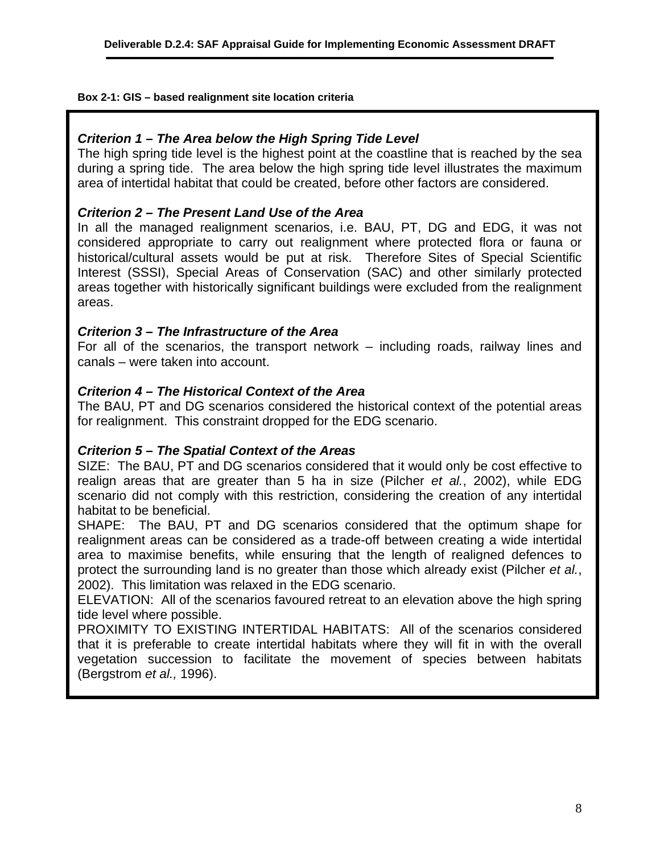**Box 2-1: GIS – based realignment site location criteria**

#### *Criterion 1 – The Area below the High Spring Tide Level*

The high spring tide level is the highest point at the coastline that is reached by the sea during a spring tide. The area below the high spring tide level illustrates the maximum area of intertidal habitat that could be created, before other factors are considered.

#### *Criterion 2 – The Present Land Use of the Area*

In all the managed realignment scenarios, i.e. BAU, PT, DG and EDG, it was not considered appropriate to carry out realignment where protected flora or fauna or historical/cultural assets would be put at risk. Therefore Sites of Special Scientific Interest (SSSI), Special Areas of Conservation (SAC) and other similarly protected areas together with historically significant buildings were excluded from the realignment areas.

#### *Criterion 3 – The Infrastructure of the Area*

For all of the scenarios, the transport network – including roads, railway lines and canals – were taken into account.

#### *Criterion 4 – The Historical Context of the Area*

The BAU, PT and DG scenarios considered the historical context of the potential areas for realignment. This constraint dropped for the EDG scenario.

#### *Criterion 5 – The Spatial Context of the Areas*

SIZE: The BAU, PT and DG scenarios considered that it would only be cost effective to realign areas that are greater than 5 ha in size (Pilcher *et al.*, 2002), while EDG scenario did not comply with this restriction, considering the creation of any intertidal habitat to be beneficial.

SHAPE: The BAU, PT and DG scenarios considered that the optimum shape for realignment areas can be considered as a trade-off between creating a wide intertidal area to maximise benefits, while ensuring that the length of realigned defences to protect the surrounding land is no greater than those which already exist (Pilcher *et al.*, 2002). This limitation was relaxed in the EDG scenario.

ELEVATION: All of the scenarios favoured retreat to an elevation above the high spring tide level where possible.

PROXIMITY TO EXISTING INTERTIDAL HABITATS: All of the scenarios considered that it is preferable to create intertidal habitats where they will fit in with the overall vegetation succession to facilitate the movement of species between habitats (Bergstrom *et al.,* 1996).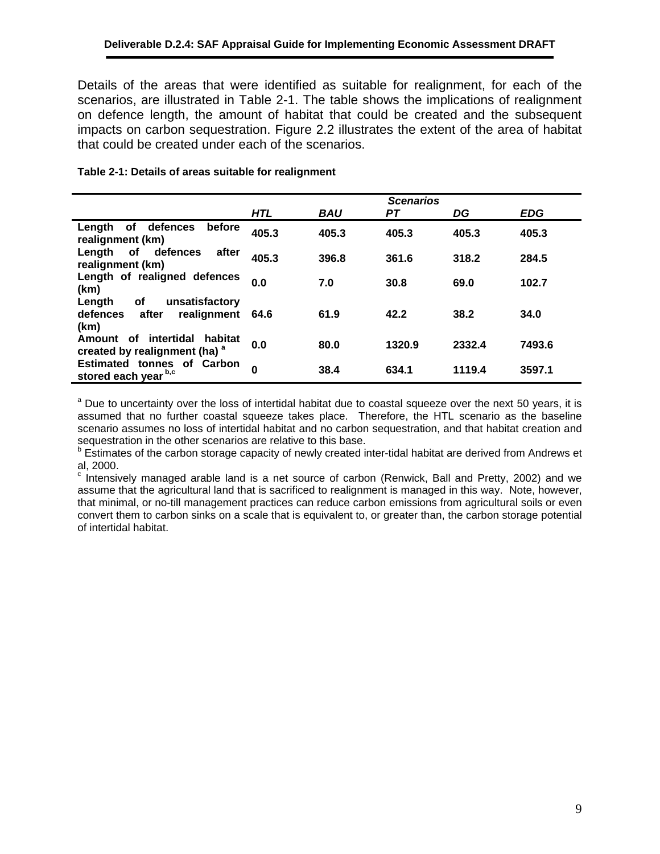Details of the areas that were identified as suitable for realignment, for each of the scenarios, are illustrated in [Table 2-1.](#page-10-0) The table shows the implications of realignment on defence length, the amount of habitat that could be created and the subsequent impacts on carbon sequestration. [Figure 2.2](#page--1-5) illustrates the extent of the area of habitat that could be created under each of the scenarios.

|                                                                                | <b>Scenarios</b> |            |        |        |            |
|--------------------------------------------------------------------------------|------------------|------------|--------|--------|------------|
|                                                                                | <b>HTL</b>       | <b>BAU</b> | PТ     | DG     | <b>EDG</b> |
| defences<br>before<br>Length<br>οf<br>realignment (km)                         | 405.3            | 405.3      | 405.3  | 405.3  | 405.3      |
| defences<br>Length<br>of<br>after<br>realignment (km)                          | 405.3            | 396.8      | 361.6  | 318.2  | 284.5      |
| Length of realigned defences<br>(km)                                           | 0.0              | 7.0        | 30.8   | 69.0   | 102.7      |
| Length<br>οf<br>unsatisfactory<br>realignment<br>defences<br>after<br>(km)     | 64.6             | 61.9       | 42.2   | 38.2   | 34.0       |
| intertidal<br>habitat<br>Amount of<br>created by realignment (ha) <sup>a</sup> | 0.0              | 80.0       | 1320.9 | 2332.4 | 7493.6     |
| <b>Estimated tonnes of Carbon</b><br>stored each year b,c                      | $\bf{0}$         | 38.4       | 634.1  | 1119.4 | 3597.1     |

#### <span id="page-10-0"></span>**Table 2-1: Details of areas suitable for realignment**

<sup>a</sup> Due to uncertainty over the loss of intertidal habitat due to coastal squeeze over the next 50 years, it is assumed that no further coastal squeeze takes place. Therefore, the HTL scenario as the baseline scenario assumes no loss of intertidal habitat and no carbon sequestration, and that habitat creation and sequestration in the other scenarios are relative to this base.

<sup>b</sup> Estimates of the carbon storage capacity of newly created inter-tidal habitat are derived from Andrews et al, 2000.

 $\textdegree$  Intensively managed arable land is a net source of carbon (Renwick, Ball and Pretty, 2002) and we assume that the agricultural land that is sacrificed to realignment is managed in this way. Note, however, that minimal, or no-till management practices can reduce carbon emissions from agricultural soils or even convert them to carbon sinks on a scale that is equivalent to, or greater than, the carbon storage potential of intertidal habitat.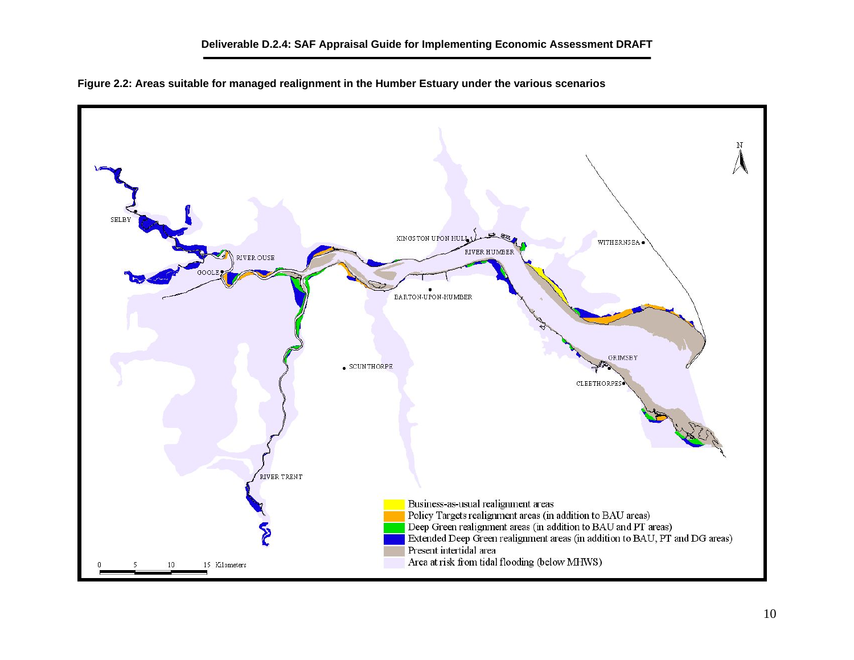

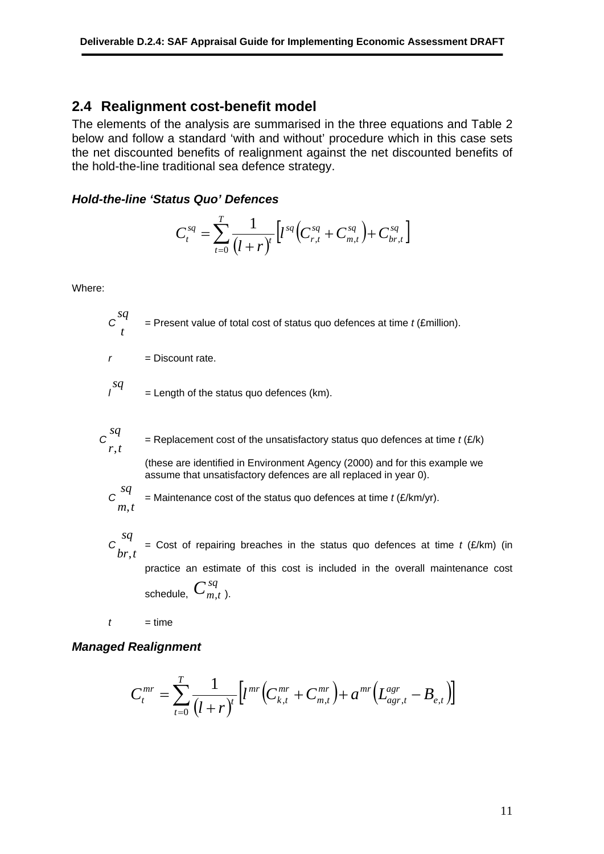#### **2.4 Realignment cost-benefit model**

The elements of the analysis are summarised in the three equations and Table 2 below and follow a standard 'with and without' procedure which in this case sets the net discounted benefits of realignment against the net discounted benefits of the hold-the-line traditional sea defence strategy.

#### *Hold-the-line 'Status Quo' Defences*

$$
C_t^{sq} = \sum_{t=0}^T \frac{1}{(l+r)^t} \Big[ l^{sq} \Big( C_{r,t}^{sq} + C_{m,t}^{sq} \Big) + C_{br,t}^{sq} \Big]
$$

Where:

*t sq*

 $=$  Present value of total cost of status quo defences at time  $t$  (£million).

 $r =$  Discount rate.

 $\begin{cases} \text{sq} \\ \text{I} \end{cases}$  = Length of the status quo defences (km).

$$
C \n\begin{cases}\nsq & \text{= Replacement cost of the unsatisfactory status quo defences at time } t \text{ (E/k)} \\
r, t\n\end{cases}
$$
\n(these are identified in Environment Agency (2000) and for this example we assume that unsatisfactory defences are all replaced in year 0).

$$
c_{m,t}^{sq}
$$

 $=$  Maintenance cost of the status quo defences at time  $t$  ( $E/km/yr$ ).

*C* = Cost of repairing breaches in the status quo defences at time *t* (£/km) (in practice an estimate of this cost is included in the overall maintenance cost schedule,  $C^{sq}_{m,t}$  ). *tbr sq* .<br>,

 $t = time$ 

#### *Managed Realignment*

$$
C_t^{mr} = \sum_{t=0}^{T} \frac{1}{\left( l + r \right)^t} \Big[ l^{mr} \Big( C_{k,t}^{mr} + C_{m,t}^{mr} \Big) {+} \, a^{mr} \Big( L_{agr,t}^{agr} - B_{e,t} \Big) \Big]
$$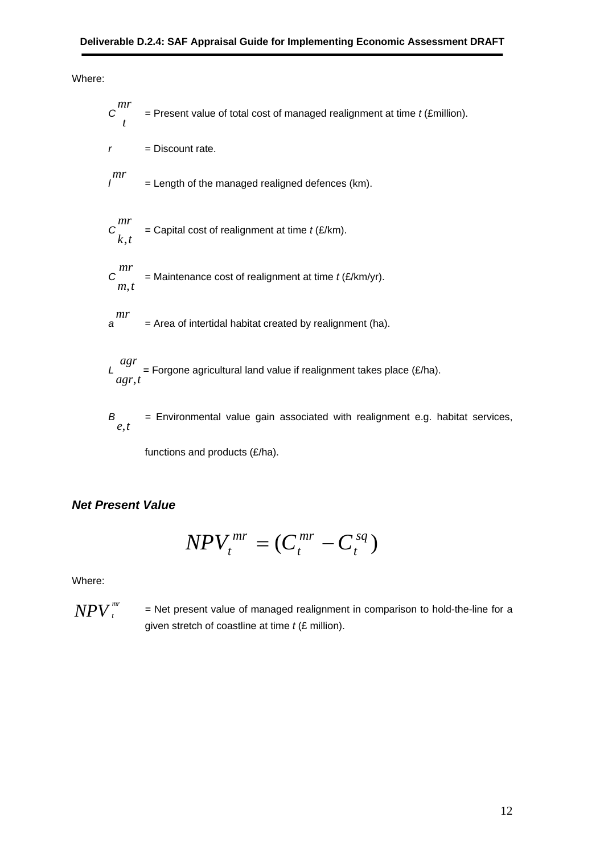Where:

$$
C\frac{mr}{t}
$$
 = Present value of total cost of managed realignment at time *t* (Emillion).  
\n
$$
r = \text{Discount rate.}
$$
\n
$$
\frac{mr}{l}
$$
 = Length of the managed realigned defences (km).  
\n
$$
C\frac{mr}{k, t}
$$
 = Capital cost of realignment at time *t* (E/km).  
\n
$$
C\frac{mr}{m, t}
$$
 = Maintenance cost of realignment at time *t* (E/km/yr).  
\n
$$
T = \text{Area of intertidal habitat created by realignment (ha).}
$$

 $L \bigcup_{\substack{a \text{gr}, t}}^{\infty}$  = Forgone agricultural land value if realignment takes place (£/ha). .<br>,

*B =* Environmental value gain associated with realignment e.g. habitat services,  $\overline{B}_{e,t}$ 

functions and products (£/ha).

#### *Net Present Value*

$$
NPV_t^{mr} = (C_t^{mr} - C_t^{sq})
$$

Where:

 $NPV$   $_{t}^{mr}$ 

*<sup>t</sup> =* Net present value of managed realignment in comparison to hold-the-line for a given stretch of coastline at time *t* (£ million).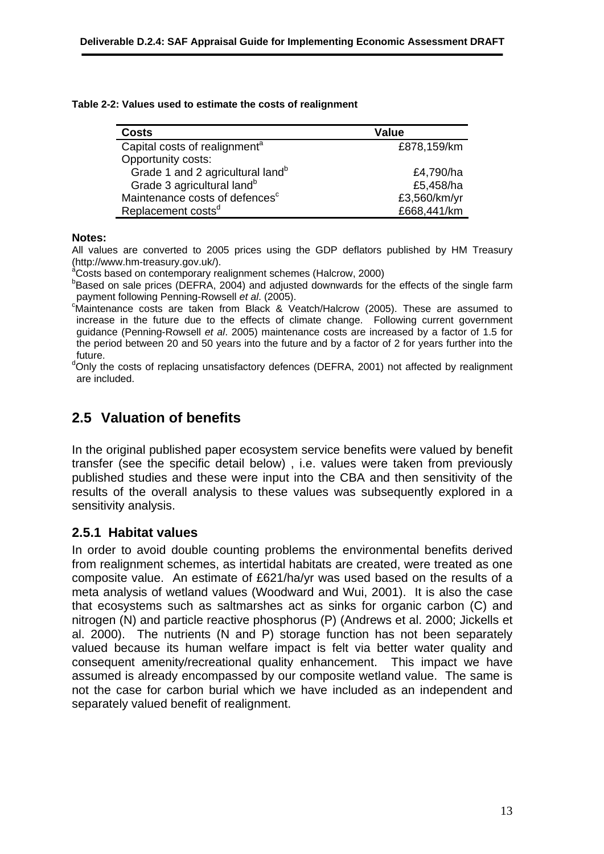|  |  | Table 2-2: Values used to estimate the costs of realignment |  |  |
|--|--|-------------------------------------------------------------|--|--|
|--|--|-------------------------------------------------------------|--|--|

| <b>Costs</b>                                 | Value        |
|----------------------------------------------|--------------|
| Capital costs of realignment <sup>a</sup>    | £878,159/km  |
| Opportunity costs:                           |              |
| Grade 1 and 2 agricultural land <sup>b</sup> | £4,790/ha    |
| Grade 3 agricultural land <sup>b</sup>       | £5,458/ha    |
| Maintenance costs of defences <sup>c</sup>   | £3,560/km/yr |
| Replacement costs <sup>d</sup>               | £668,441/km  |

#### **Notes:**

All values are converted to 2005 prices using the GDP deflators published by HM Treasury ( http://www.hm-treasury.gov.uk/).

<sup>a</sup>Costs based on contemporary realignment schemes (Halcrow, 2000)

 $B$ Based on sale prices (DEFRA, 2004) and adjusted downwards for the effects of the single farm payment following Penning-Rowsell *et al*. (2005).

<sup>c</sup>Maintenance costs are taken from Black & Veatch/Halcrow (2005). These are assumed to the period between 20 and 50 years into the future and by a factor of 2 for years further into the increase in the future due to the effects of climate change. Following current government guidance (Penning-Rowsell *et al*. 2005) maintenance costs are increased by a factor of 1.5 for future.

dOnly the costs of replacing unsatisfactory defences (DEFRA, 2001) not affected by realignment are included.

## **.5 Valuation of benefits 2**

results of the overall analysis to these values was subsequently explored in a sensitivity analysis. In the original published paper ecosystem service benefits were valued by benefit transfer (see the specific detail below) , i.e. values were taken from previously published studies and these were input into the CBA and then sensitivity of the

#### **2.5.1 Habitat values**

not the case for carbon burial which we have included as an independent and separately valued benefit of realignment. In order to avoid double counting problems the environmental benefits derived from realignment schemes, as intertidal habitats are created, were treated as one composite value. An estimate of £621/ha/yr was used based on the results of a meta analysis of wetland values (Woodward and Wui, 2001). It is also the case that ecosystems such as saltmarshes act as sinks for organic carbon (C) and nitrogen (N) and particle reactive phosphorus (P) (Andrews et al. 2000; Jickells et al. 2000). The nutrients (N and P) storage function has not been separately valued because its human welfare impact is felt via better water quality and consequent amenity/recreational quality enhancement. This impact we have assumed is already encompassed by our composite wetland value. The same is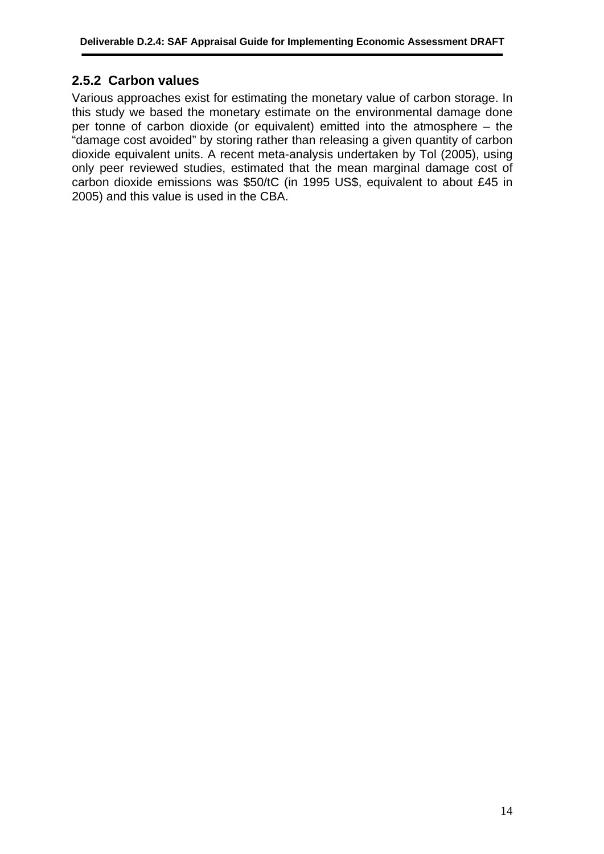### **2.5.2 Carbon values**

Various approaches exist for estimating the monetary value of carbon storage. In this study we based the monetary estimate on the environmental damage done per tonne of carbon dioxide (or equivalent) emitted into the atmosphere – the "damage cost avoided" by storing rather than releasing a given quantity of carbon dioxide equivalent units. A recent meta-analysis undertaken by Tol (2005), using only peer reviewed studies, estimated that the mean marginal damage cost of carbon dioxide emissions was \$50/tC (in 1995 US\$, equivalent to about £45 in 2005) and this value is used in the CBA.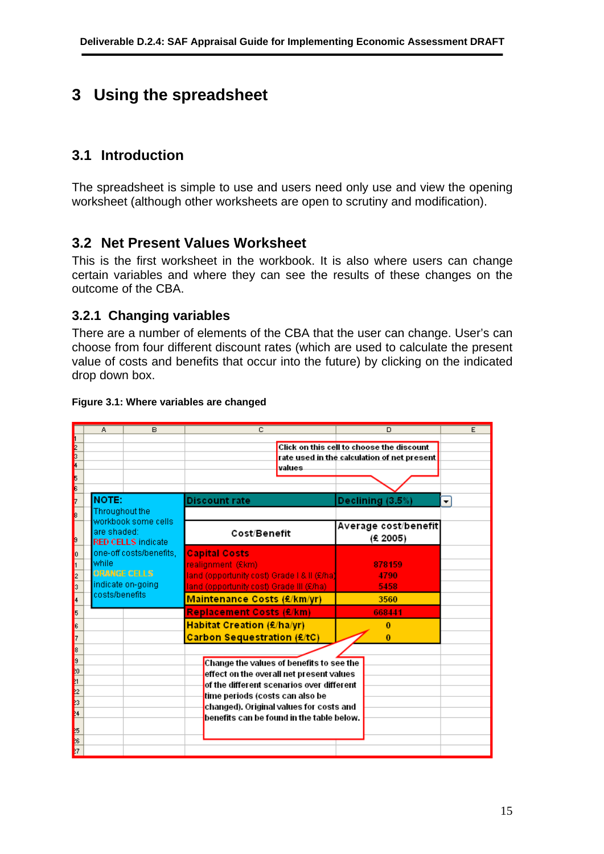## **3 Using the spreadsheet**

## **3.1 Introduction**

The spreadsheet is simple to use and users need only use and view the opening worksheet (although other worksheets are open to scrutiny and modification).

## **3.2 Net Present Values Worksheet**

This is the first worksheet in the workbook. It is also where users can change certain variables and where they can see the results of these changes on the outcome of the CBA.

### **3.2.1 Changing variables**

There are a number of elements of the CBA that the user can change. User's can choose from four different discount rates (which are used to calculate the present value of costs and benefits that occur into the future) by clicking on the indicated drop down box.

|                                                                | A.                            | B                                                                   | C                                                                                                                                                                                                                                                            | D                                                                                        | E                    |
|----------------------------------------------------------------|-------------------------------|---------------------------------------------------------------------|--------------------------------------------------------------------------------------------------------------------------------------------------------------------------------------------------------------------------------------------------------------|------------------------------------------------------------------------------------------|----------------------|
| e<br>3<br>4<br>5                                               |                               |                                                                     | values                                                                                                                                                                                                                                                       | Click on this cell to choose the discount<br>rate used in the calculation of net present |                      |
| 6                                                              |                               |                                                                     |                                                                                                                                                                                                                                                              |                                                                                          |                      |
|                                                                | <b>NOTE:</b>                  |                                                                     | Discount rate                                                                                                                                                                                                                                                | Declining (3.5%)                                                                         | $\blacktriangledown$ |
| 9                                                              | Throughout the<br>are shaded: | workbook some cells<br><b>RED CELLS indicate</b>                    | Cost/Benefit                                                                                                                                                                                                                                                 | Average cost/benefit<br>(£ 2005)                                                         |                      |
| O<br>2<br>$\overline{\phantom{a}}$                             | lwhile<br>costs/benefits      | one-off costs/benefits,<br><b>ORANGE CELLS</b><br>indicate on-going | <b>Capital Costs</b><br>realignment (£km)<br>land (opportunity cost) Grade   & II (£/ha)<br>land (opportunity cost) Grade III (£/ha)                                                                                                                         | 878159<br>4790<br>5458                                                                   |                      |
| 4                                                              |                               |                                                                     | <b>Maintenance Costs (£/km/yr)</b>                                                                                                                                                                                                                           | 3560                                                                                     |                      |
| 5<br>6<br>7                                                    |                               |                                                                     | <b>Replacement Costs (£/km)</b><br>Habitat Creation (£/ha/yr)<br><b>Carbon Sequestration (£/tC)</b>                                                                                                                                                          | 668441<br>0<br>$\bf{0}$                                                                  |                      |
| 8<br><b>S</b><br>þ1.<br><b>REA</b><br>L<br><sup>25</sup><br>27 |                               |                                                                     | Change the values of benefits to see the<br>effect on the overall net present values<br>of the different scenarios over different<br>time periods (costs can also be<br>changed). Original values for costs and<br>benefits can be found in the table below. |                                                                                          |                      |
|                                                                |                               |                                                                     |                                                                                                                                                                                                                                                              |                                                                                          |                      |

#### **Figure 3.1: Where variables are changed**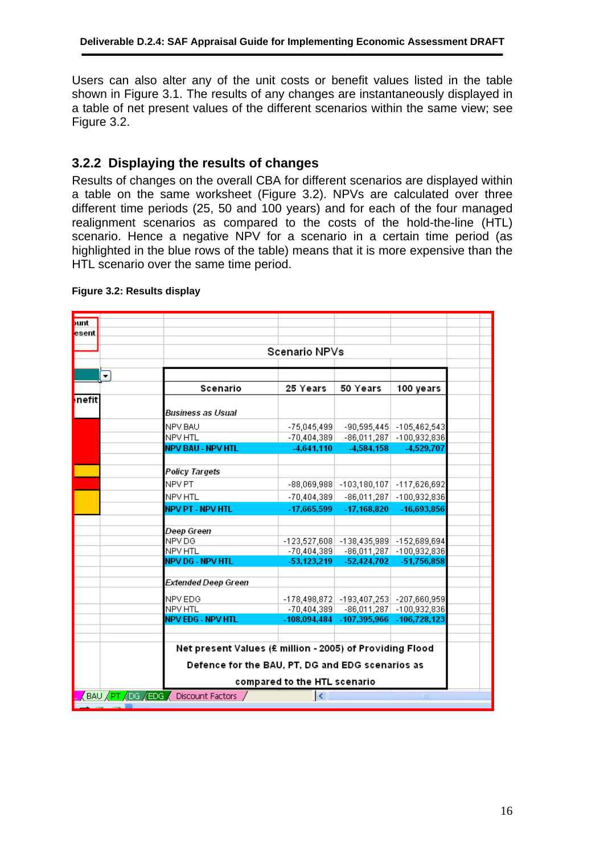Users can also alter any of the unit costs or benefit values listed in the table shown in [Figure 3.1.](#page--1-6) The results of any changes are instantaneously displayed in a table of net present values of the different scenarios within the same view; see [Figure 3.2.](#page-17-0)

## **3.2.2 Displaying the results of changes**

Results of changes on the overall CBA for different scenarios are displayed within a table on the same worksheet [\(Figure 3.2\)](#page-17-0). NPVs are calculated over three different time periods (25, 50 and 100 years) and for each of the four managed realignment scenarios as compared to the costs of the hold-the-line (HTL) scenario. Hence a negative NPV for a scenario in a certain time period (as highlighted in the blue rows of the table) means that it is more expensive than the HTL scenario over the same time period.

| bunt                                                                   |                          |                                                  |                                                          |                                        |                              |  |
|------------------------------------------------------------------------|--------------------------|--------------------------------------------------|----------------------------------------------------------|----------------------------------------|------------------------------|--|
| esent                                                                  |                          |                                                  |                                                          |                                        |                              |  |
|                                                                        |                          |                                                  |                                                          |                                        |                              |  |
|                                                                        |                          | Scenario NPVs                                    |                                                          |                                        |                              |  |
|                                                                        |                          |                                                  |                                                          |                                        |                              |  |
|                                                                        | $\overline{\phantom{0}}$ |                                                  |                                                          |                                        |                              |  |
|                                                                        |                          | Scenario                                         | 25 Years                                                 | 50 Years                               | 100 years                    |  |
| <b>Inefit</b>                                                          |                          |                                                  |                                                          |                                        |                              |  |
|                                                                        |                          | Business as Usual                                |                                                          |                                        |                              |  |
|                                                                        |                          | NPV BAU                                          | $-75,045,499$                                            |                                        | $-90,595,445$ $-105,462,543$ |  |
|                                                                        |                          | NPV HTL                                          | $-70,404,389$                                            |                                        | $-86,011,287$ $-100,932,836$ |  |
|                                                                        |                          | <b>NPV BAU - NPV HTL</b>                         | $-4.641.110$                                             | -4,584,158                             | -4,529,707                   |  |
|                                                                        |                          |                                                  |                                                          |                                        |                              |  |
|                                                                        |                          | Policy Targets                                   |                                                          |                                        |                              |  |
|                                                                        |                          | NPV PT                                           |                                                          | $-88,069,988$ $-103,180,107$           | $-117,626,692$               |  |
|                                                                        |                          | NPV HTL                                          | $-70,404,389$                                            | $-86,011,287$                          | $-100,932,836$               |  |
|                                                                        |                          | <b>NPV PT - NPV HTL</b>                          | $-17,665,599$                                            | $-17,168,820$                          | -16,693,856                  |  |
|                                                                        |                          |                                                  |                                                          |                                        |                              |  |
|                                                                        |                          | Deep Green                                       |                                                          |                                        |                              |  |
|                                                                        |                          | NPV DG                                           |                                                          | -123,527,608 -138,435,989 -152,689,694 |                              |  |
|                                                                        |                          | NPV HTL                                          | $-70,404,389$                                            |                                        | $-86,011,287$ $-100,932,836$ |  |
|                                                                        |                          | <b>NPV DG - NPV HTL</b>                          | $-53,123,219$                                            | $-52,424,702$                          | -51,756,858                  |  |
|                                                                        |                          | Extended Deep Green                              |                                                          |                                        |                              |  |
|                                                                        |                          |                                                  |                                                          |                                        |                              |  |
|                                                                        |                          | NPV EDG                                          |                                                          | -178,498,872 -193,407,253 -207,660,959 |                              |  |
|                                                                        |                          | <b>NPV HTL</b>                                   | $-70,404,389$                                            | $-86,011,287$                          | $-100,932,836$               |  |
|                                                                        |                          | <b>NPV EDG - NPV HTL</b>                         | $-108,094,484$                                           | $-107,395,966$                         | $-106,728,123$               |  |
|                                                                        |                          |                                                  |                                                          |                                        |                              |  |
|                                                                        |                          |                                                  | Net present Values (£ million - 2005) of Providing Flood |                                        |                              |  |
|                                                                        |                          |                                                  |                                                          |                                        |                              |  |
|                                                                        |                          | Defence for the BAU, PT, DG and EDG scenarios as |                                                          |                                        |                              |  |
|                                                                        |                          | compared to the HTL scenario                     |                                                          |                                        |                              |  |
| BAU <u>XPT XDG XEDG</u> X Discount Factors /<br>$\vert \langle$<br>HH. |                          |                                                  |                                                          |                                        |                              |  |
|                                                                        |                          |                                                  |                                                          |                                        |                              |  |

#### <span id="page-17-0"></span>**Figure 3.2: Results display**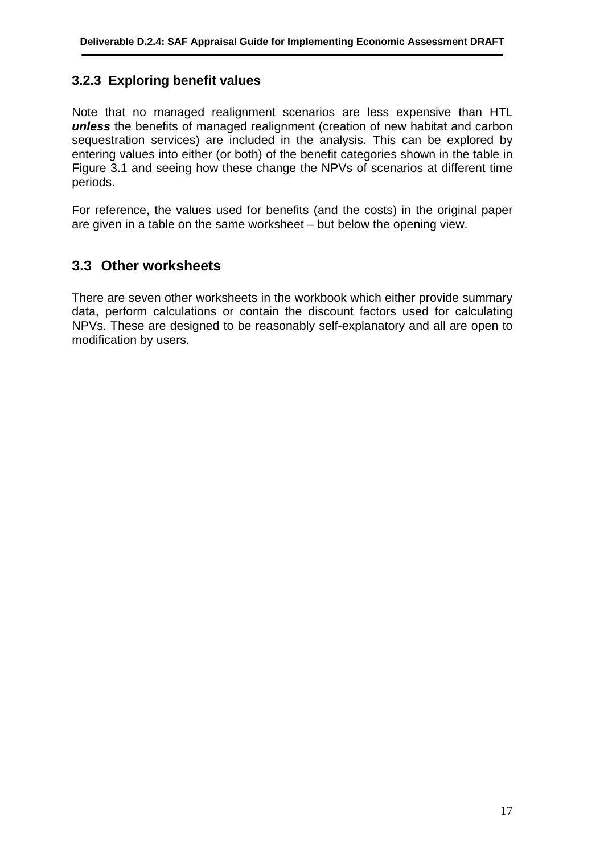### **3.2.3 Exploring benefit values**

Note that no managed realignment scenarios are less expensive than HTL *unless* the benefits of managed realignment (creation of new habitat and carbon sequestration services) are included in the analysis. This can be explored by entering values into either (or both) of the benefit categories shown in the table in [Figure 3.1](#page--1-6) and seeing how these change the NPVs of scenarios at different time periods.

For reference, the values used for benefits (and the costs) in the original paper are given in a table on the same worksheet – but below the opening view.

## **3.3 Other worksheets**

There are seven other worksheets in the workbook which either provide summary data, perform calculations or contain the discount factors used for calculating NPVs. These are designed to be reasonably self-explanatory and all are open to modification by users.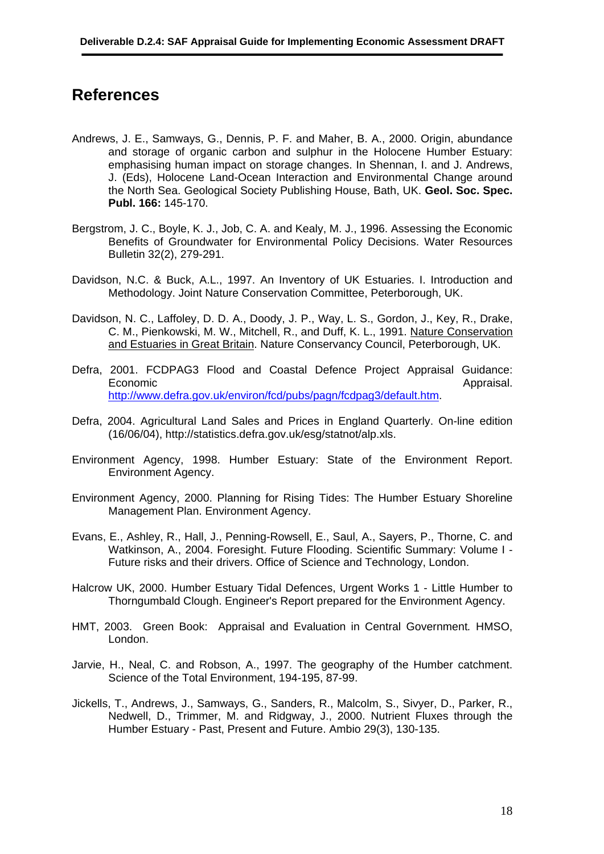## **References**

- Andrews, J. E., Samways, G., Dennis, P. F. and Maher, B. A., 2000. Origin, abundance and storage of organic carbon and sulphur in the Holocene Humber Estuary: emphasising human impact on storage changes. In Shennan, I. and J. Andrews, J. (Eds), Holocene Land-Ocean Interaction and Environmental Change around the North Sea. Geological Society Publishing House, Bath, UK. **Geol. Soc. Spec. Publ. 166:** 145-170.
- Bergstrom, J. C., Boyle, K. J., Job, C. A. and Kealy, M. J., 1996. Assessing the Economic Benefits of Groundwater for Environmental Policy Decisions. Water Resources Bulletin 32(2), 279-291.
- Davidson, N.C. & Buck, A.L., 1997. An Inventory of UK Estuaries. I. Introduction and Methodology. Joint Nature Conservation Committee, Peterborough, UK.
- Davidson, N. C., Laffoley, D. D. A., Doody, J. P., Way, L. S., Gordon, J., Key, R., Drake, C. M., Pienkowski, M. W., Mitchell, R., and Duff, K. L., 1991. Nature Conservation and Estuaries in Great Britain. Nature Conservancy Council, Peterborough, UK.
- Defra, 2001. FCDPAG3 Flood and Coastal Defence Project Appraisal Guidance: Economic Appraisal. [http://www.defra.gov.uk/environ/fcd/pubs/pagn/fcdpag3/default.htm.](http://www.defra.gov.uk/environ/fcd/pubs/pagn/fcdpag3/default.htm)
- Defra, 2004. Agricultural Land Sales and Prices in England Quarterly. On-line edition (16/06/04), http://statistics.defra.gov.uk/esg/statnot/alp.xls.
- Environment Agency, 1998. Humber Estuary: State of the Environment Report. Environment Agency.
- Environment Agency, 2000. Planning for Rising Tides: The Humber Estuary Shoreline Management Plan. Environment Agency.
- Evans, E., Ashley, R., Hall, J., Penning-Rowsell, E., Saul, A., Sayers, P., Thorne, C. and Watkinson, A., 2004. Foresight. Future Flooding. Scientific Summary: Volume I - Future risks and their drivers. Office of Science and Technology, London.
- Halcrow UK, 2000. Humber Estuary Tidal Defences, Urgent Works 1 Little Humber to Thorngumbald Clough. Engineer's Report prepared for the Environment Agency.
- HMT, 2003. Green Book: Appraisal and Evaluation in Central Government*.* HMSO, London.
- Jarvie, H., Neal, C. and Robson, A., 1997. The geography of the Humber catchment. Science of the Total Environment, 194-195, 87-99.
- Jickells, T., Andrews, J., Samways, G., Sanders, R., Malcolm, S., Sivyer, D., Parker, R., Nedwell, D., Trimmer, M. and Ridgway, J., 2000. Nutrient Fluxes through the Humber Estuary - Past, Present and Future. Ambio 29(3), 130-135.